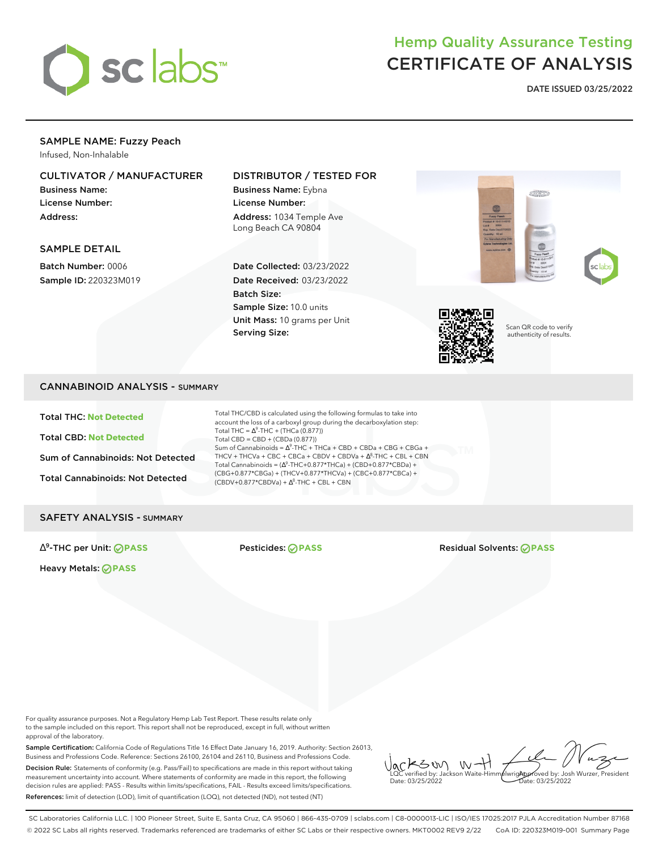

# Hemp Quality Assurance Testing CERTIFICATE OF ANALYSIS

**DATE ISSUED 03/25/2022**

#### SAMPLE NAME: Fuzzy Peach Infused, Non-Inhalable

#### CULTIVATOR / MANUFACTURER

Business Name: License Number: Address:

#### SAMPLE DETAIL

Batch Number: 0006 Sample ID: 220323M019

## DISTRIBUTOR / TESTED FOR

Business Name: Eybna License Number: Address: 1034 Temple Ave Long Beach CA 90804

Date Collected: 03/23/2022 Date Received: 03/23/2022 Batch Size: Sample Size: 10.0 units Unit Mass: 10 grams per Unit Serving Size:





Scan QR code to verify authenticity of results.

### CANNABINOID ANALYSIS - SUMMARY

Total THC: **Not Detected**

Total CBD: **Not Detected**

Sum of Cannabinoids: Not Detected

Total Cannabinoids: Not Detected

Total THC/CBD is calculated using the following formulas to take into account the loss of a carboxyl group during the decarboxylation step: Total THC =  $\Delta^9$ -THC + (THCa (0.877)) Total CBD = CBD + (CBDa (0.877)) Sum of Cannabinoids =  $\Delta^9$ -THC + THCa + CBD + CBDa + CBG + CBGa + THCV + THCVa + CBC + CBCa + CBDV + CBDVa + ∆<sup>8</sup>-THC + CBL + CBN Total Cannabinoids =  $(\Delta^9$ -THC+0.877\*THCa) + (CBD+0.877\*CBDa) + (CBG+0.877\*CBGa) + (THCV+0.877\*THCVa) + (CBC+0.877\*CBCa) +  $(CBDV+0.877*CBDVa) + \Delta^{8}$ -THC + CBL + CBN

#### SAFETY ANALYSIS - SUMMARY

∆ 9

Heavy Metals: **PASS**

Pesticides: **⊘PASS** Residual Solvents: ⊘PASS

For quality assurance purposes. Not a Regulatory Hemp Lab Test Report. These results relate only to the sample included on this report. This report shall not be reproduced, except in full, without written approval of the laboratory.

Sample Certification: California Code of Regulations Title 16 Effect Date January 16, 2019. Authority: Section 26013, Business and Professions Code. Reference: Sections 26100, 26104 and 26110, Business and Professions Code. Decision Rule: Statements of conformity (e.g. Pass/Fail) to specifications are made in this report without taking measurement uncertainty into account. Where statements of conformity are made in this report, the following decision rules are applied: PASS - Results within limits/specifications, FAIL - Results exceed limits/specifications. References: limit of detection (LOD), limit of quantification (LOO), not detected (ND), not tested (NT)

 $\int_{\text{QCC}}$   $\text{R}$   $\text{C}$   $\text{C}$   $\text{C}$   $\text{C}$   $\text{C}$   $\text{C}$   $\text{C}$   $\text{C}$   $\text{C}$   $\text{C}$   $\text{C}$   $\text{C}$   $\text{C}$   $\text{C}$   $\text{C}$   $\text{C}$   $\text{C}$   $\text{C}$   $\text{C}$   $\text{C}$   $\text{C}$   $\text{C}$   $\text{C}$   $\text{C}$   $\text{C}$  Date: 03/25/2022 Approved by: Josh Wurzer, President  $ate: 03/25/2022$ 

SC Laboratories California LLC. | 100 Pioneer Street, Suite E, Santa Cruz, CA 95060 | 866-435-0709 | sclabs.com | C8-0000013-LIC | ISO/IES 17025:2017 PJLA Accreditation Number 87168 © 2022 SC Labs all rights reserved. Trademarks referenced are trademarks of either SC Labs or their respective owners. MKT0002 REV9 2/22 CoA ID: 220323M019-001 Summary Page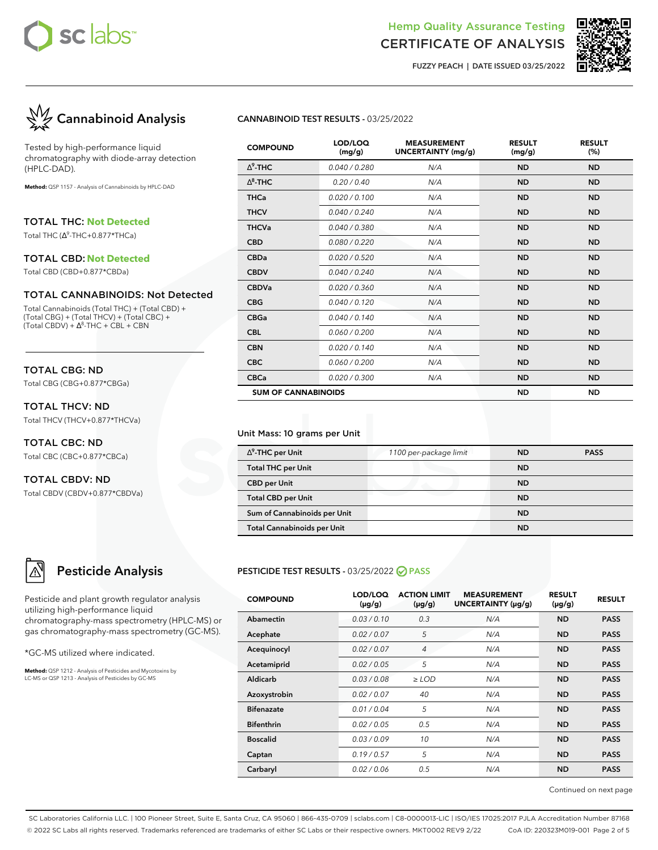

# Hemp Quality Assurance Testing

# CERTIFICATE OF ANALYSIS **FUZZY PEACH | DATE ISSUED 03/25/2022**



Tested by high-performance liquid chromatography with diode-array detection (HPLC-DAD).

**Method:** QSP 1157 - Analysis of Cannabinoids by HPLC-DAD

TOTAL THC: **Not Detected**

Total THC (∆ 9 -THC+0.877\*THCa)

#### TOTAL CBD: **Not Detected**

Total CBD (CBD+0.877\*CBDa)

#### TOTAL CANNABINOIDS: Not Detected

Total Cannabinoids (Total THC) + (Total CBD) + (Total CBG) + (Total THCV) + (Total CBC) +  $(Total CBDV) + \Delta^{8}$ -THC + CBL + CBN

### TOTAL CBG: ND

Total CBG (CBG+0.877\*CBGa)

#### TOTAL THCV: ND Total THCV (THCV+0.877\*THCVa)

TOTAL CBC: ND Total CBC (CBC+0.877\*CBCa)

# TOTAL CBDV: ND

Total CBDV (CBDV+0.877\*CBDVa)

# **Pesticide Analysis**

Pesticide and plant growth regulator analysis utilizing high-performance liquid chromatography-mass spectrometry (HPLC-MS) or gas chromatography-mass spectrometry (GC-MS).

\*GC-MS utilized where indicated.

**Method:** QSP 1212 - Analysis of Pesticides and Mycotoxins by LC-MS or QSP 1213 - Analysis of Pesticides by GC-MS

#### **CANNABINOID TEST RESULTS -** 03/25/2022

| <b>COMPOUND</b>            | LOD/LOQ<br>(mg/g) | <b>MEASUREMENT</b><br><b>UNCERTAINTY (mg/g)</b> | <b>RESULT</b><br>(mg/g) | <b>RESULT</b><br>(%) |
|----------------------------|-------------------|-------------------------------------------------|-------------------------|----------------------|
| $\Delta^9$ -THC            | 0.040 / 0.280     | N/A                                             | <b>ND</b>               | <b>ND</b>            |
| $\Lambda^8$ -THC           | 0.20 / 0.40       | N/A                                             | <b>ND</b>               | <b>ND</b>            |
| <b>THCa</b>                | 0.020 / 0.100     | N/A                                             | <b>ND</b>               | <b>ND</b>            |
| <b>THCV</b>                | 0.040 / 0.240     | N/A                                             | <b>ND</b>               | <b>ND</b>            |
| <b>THCVa</b>               | 0.040 / 0.380     | N/A                                             | <b>ND</b>               | <b>ND</b>            |
| <b>CBD</b>                 | 0.080 / 0.220     | N/A                                             | <b>ND</b>               | <b>ND</b>            |
| <b>CBDa</b>                | 0.020 / 0.520     | N/A                                             | <b>ND</b>               | <b>ND</b>            |
| <b>CBDV</b>                | 0.040 / 0.240     | N/A                                             | <b>ND</b>               | <b>ND</b>            |
| <b>CBDVa</b>               | 0.020 / 0.360     | N/A                                             | <b>ND</b>               | <b>ND</b>            |
| <b>CBG</b>                 | 0.040/0.120       | N/A                                             | <b>ND</b>               | <b>ND</b>            |
| <b>CBGa</b>                | 0.040/0.140       | N/A                                             | <b>ND</b>               | <b>ND</b>            |
| <b>CBL</b>                 | 0.060 / 0.200     | N/A                                             | <b>ND</b>               | <b>ND</b>            |
| <b>CBN</b>                 | 0.020 / 0.140     | N/A                                             | <b>ND</b>               | <b>ND</b>            |
| <b>CBC</b>                 | 0.060 / 0.200     | N/A                                             | <b>ND</b>               | <b>ND</b>            |
| <b>CBCa</b>                | 0.020 / 0.300     | N/A                                             | <b>ND</b>               | <b>ND</b>            |
| <b>SUM OF CANNABINOIDS</b> |                   |                                                 | <b>ND</b>               | <b>ND</b>            |

#### Unit Mass: 10 grams per Unit

| $\Delta^9$ -THC per Unit           | 1100 per-package limit | <b>ND</b> | <b>PASS</b> |
|------------------------------------|------------------------|-----------|-------------|
| <b>Total THC per Unit</b>          |                        | <b>ND</b> |             |
| <b>CBD per Unit</b>                |                        | <b>ND</b> |             |
| <b>Total CBD per Unit</b>          |                        | <b>ND</b> |             |
| Sum of Cannabinoids per Unit       |                        | <b>ND</b> |             |
| <b>Total Cannabinoids per Unit</b> |                        | <b>ND</b> |             |

### **PESTICIDE TEST RESULTS -** 03/25/2022 **PASS**

| <b>COMPOUND</b>   | LOD/LOQ<br>$(\mu g/g)$ | <b>ACTION LIMIT</b><br>$(\mu g/g)$ | <b>MEASUREMENT</b><br>UNCERTAINTY (µg/g) | <b>RESULT</b><br>$(\mu g/g)$ | <b>RESULT</b> |
|-------------------|------------------------|------------------------------------|------------------------------------------|------------------------------|---------------|
| Abamectin         | 0.03/0.10              | 0.3                                | N/A                                      | <b>ND</b>                    | <b>PASS</b>   |
| Acephate          | 0.02 / 0.07            | 5                                  | N/A                                      | <b>ND</b>                    | <b>PASS</b>   |
| Acequinocyl       | 0.02 / 0.07            | 4                                  | N/A                                      | <b>ND</b>                    | <b>PASS</b>   |
| Acetamiprid       | 0.02 / 0.05            | 5                                  | N/A                                      | <b>ND</b>                    | <b>PASS</b>   |
| Aldicarb          | 0.03 / 0.08            | $\ge$ LOD                          | N/A                                      | <b>ND</b>                    | <b>PASS</b>   |
| Azoxystrobin      | 0.02 / 0.07            | 40                                 | N/A                                      | <b>ND</b>                    | <b>PASS</b>   |
| <b>Bifenazate</b> | 0.01 / 0.04            | 5                                  | N/A                                      | <b>ND</b>                    | <b>PASS</b>   |
| <b>Bifenthrin</b> | 0.02 / 0.05            | 0.5                                | N/A                                      | <b>ND</b>                    | <b>PASS</b>   |
| <b>Boscalid</b>   | 0.03/0.09              | 10                                 | N/A                                      | <b>ND</b>                    | <b>PASS</b>   |
| Captan            | 0.19/0.57              | 5                                  | N/A                                      | <b>ND</b>                    | <b>PASS</b>   |
| Carbaryl          | 0.02/0.06              | 0.5                                | N/A                                      | <b>ND</b>                    | <b>PASS</b>   |

Continued on next page

SC Laboratories California LLC. | 100 Pioneer Street, Suite E, Santa Cruz, CA 95060 | 866-435-0709 | sclabs.com | C8-0000013-LIC | ISO/IES 17025:2017 PJLA Accreditation Number 87168 © 2022 SC Labs all rights reserved. Trademarks referenced are trademarks of either SC Labs or their respective owners. MKT0002 REV9 2/22 CoA ID: 220323M019-001 Page 2 of 5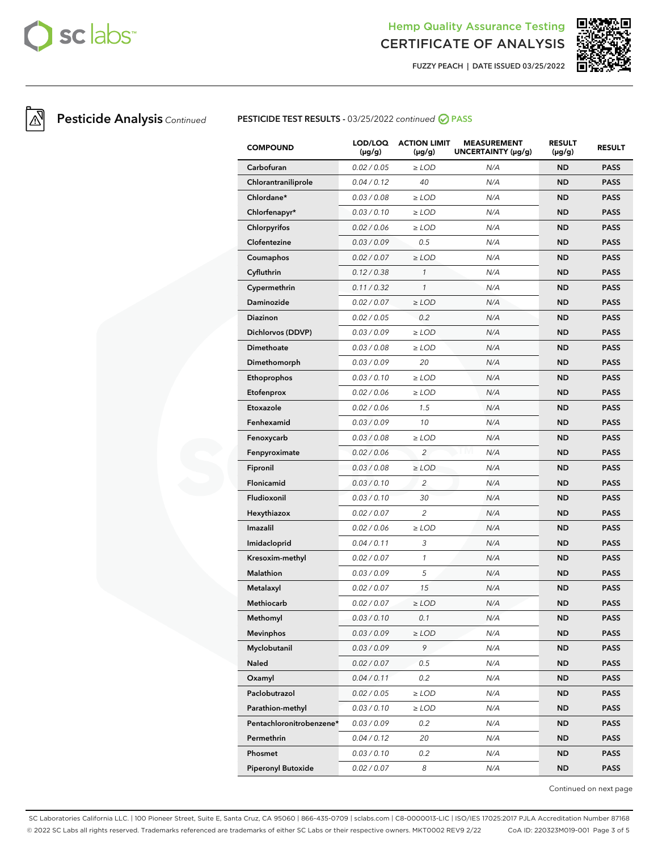

# Hemp Quality Assurance Testing

CERTIFICATE OF ANALYSIS **FUZZY PEACH | DATE ISSUED 03/25/2022**



## **Pesticide Analysis** Continued **PESTICIDE TEST RESULTS** - 03/25/2022 continued **⊘** PASS

| <b>COMPOUND</b>           | LOD/LOQ<br>$(\mu g/g)$ | <b>ACTION LIMIT</b><br>$(\mu g/g)$ | <b>MEASUREMENT</b><br>UNCERTAINTY (µg/g) | <b>RESULT</b><br>$(\mu g/g)$ | <b>RESULT</b> |
|---------------------------|------------------------|------------------------------------|------------------------------------------|------------------------------|---------------|
| Carbofuran                | 0.02 / 0.05            | $\ge$ LOD                          | N/A                                      | <b>ND</b>                    | <b>PASS</b>   |
| Chlorantraniliprole       | 0.04 / 0.12            | 40                                 | N/A                                      | <b>ND</b>                    | <b>PASS</b>   |
| Chlordane*                | 0.03 / 0.08            | $\ge$ LOD                          | N/A                                      | <b>ND</b>                    | <b>PASS</b>   |
| Chlorfenapyr*             | 0.03 / 0.10            | $\ge$ LOD                          | N/A                                      | <b>ND</b>                    | <b>PASS</b>   |
| Chlorpyrifos              | 0.02 / 0.06            | $\ge$ LOD                          | N/A                                      | <b>ND</b>                    | <b>PASS</b>   |
| Clofentezine              | 0.03 / 0.09            | 0.5                                | N/A                                      | <b>ND</b>                    | <b>PASS</b>   |
| Coumaphos                 | 0.02 / 0.07            | $\geq$ LOD                         | N/A                                      | <b>ND</b>                    | <b>PASS</b>   |
| Cyfluthrin                | 0.12 / 0.38            | $\mathcal{I}$                      | N/A                                      | <b>ND</b>                    | <b>PASS</b>   |
| Cypermethrin              | 0.11 / 0.32            | $\mathbf{1}$                       | N/A                                      | <b>ND</b>                    | <b>PASS</b>   |
| Daminozide                | 0.02 / 0.07            | $\ge$ LOD                          | N/A                                      | <b>ND</b>                    | <b>PASS</b>   |
| <b>Diazinon</b>           | 0.02 / 0.05            | 0.2                                | N/A                                      | <b>ND</b>                    | <b>PASS</b>   |
| Dichlorvos (DDVP)         | 0.03 / 0.09            | $\ge$ LOD                          | N/A                                      | <b>ND</b>                    | <b>PASS</b>   |
| <b>Dimethoate</b>         | 0.03 / 0.08            | $\ge$ LOD                          | N/A                                      | <b>ND</b>                    | <b>PASS</b>   |
| Dimethomorph              | 0.03 / 0.09            | 20                                 | N/A                                      | <b>ND</b>                    | <b>PASS</b>   |
| <b>Ethoprophos</b>        | 0.03 / 0.10            | $\ge$ LOD                          | N/A                                      | <b>ND</b>                    | <b>PASS</b>   |
| Etofenprox                | 0.02 / 0.06            | $\ge$ LOD                          | N/A                                      | <b>ND</b>                    | <b>PASS</b>   |
| Etoxazole                 | 0.02 / 0.06            | 1.5                                | N/A                                      | <b>ND</b>                    | <b>PASS</b>   |
| Fenhexamid                | 0.03 / 0.09            | 10                                 | N/A                                      | <b>ND</b>                    | <b>PASS</b>   |
| Fenoxycarb                | 0.03 / 0.08            | $\ge$ LOD                          | N/A                                      | <b>ND</b>                    | <b>PASS</b>   |
| Fenpyroximate             | 0.02 / 0.06            | $\overline{a}$                     | N/A                                      | <b>ND</b>                    | <b>PASS</b>   |
| Fipronil                  | 0.03 / 0.08            | $\ge$ LOD                          | N/A                                      | <b>ND</b>                    | <b>PASS</b>   |
| <b>Flonicamid</b>         | 0.03 / 0.10            | $\overline{c}$                     | N/A                                      | <b>ND</b>                    | <b>PASS</b>   |
| Fludioxonil               | 0.03 / 0.10            | 30                                 | N/A                                      | <b>ND</b>                    | <b>PASS</b>   |
| Hexythiazox               | 0.02 / 0.07            | $\overline{2}$                     | N/A                                      | <b>ND</b>                    | <b>PASS</b>   |
| Imazalil                  | 0.02 / 0.06            | $\ge$ LOD                          | N/A                                      | <b>ND</b>                    | <b>PASS</b>   |
| Imidacloprid              | 0.04 / 0.11            | 3                                  | N/A                                      | <b>ND</b>                    | <b>PASS</b>   |
| Kresoxim-methyl           | 0.02 / 0.07            | $\mathcal{I}$                      | N/A                                      | <b>ND</b>                    | <b>PASS</b>   |
| Malathion                 | 0.03 / 0.09            | 5                                  | N/A                                      | <b>ND</b>                    | <b>PASS</b>   |
| Metalaxyl                 | 0.02 / 0.07            | 15                                 | N/A                                      | <b>ND</b>                    | <b>PASS</b>   |
| <b>Methiocarb</b>         | 0.02 / 0.07            | $\ge$ LOD                          | N/A                                      | ND                           | <b>PASS</b>   |
| Methomyl                  | 0.03 / 0.10            | 0.1                                | N/A                                      | <b>ND</b>                    | <b>PASS</b>   |
| <b>Mevinphos</b>          | 0.03 / 0.09            | $\geq$ LOD                         | N/A                                      | <b>ND</b>                    | <b>PASS</b>   |
| Myclobutanil              | 0.03 / 0.09            | 9                                  | N/A                                      | ND                           | <b>PASS</b>   |
| Naled                     | 0.02 / 0.07            | 0.5                                | N/A                                      | <b>ND</b>                    | <b>PASS</b>   |
| Oxamyl                    | 0.04 / 0.11            | 0.2                                | N/A                                      | <b>ND</b>                    | <b>PASS</b>   |
| Paclobutrazol             | 0.02 / 0.05            | $\ge$ LOD                          | N/A                                      | ND                           | PASS          |
| Parathion-methyl          | 0.03 / 0.10            | $\geq$ LOD                         | N/A                                      | <b>ND</b>                    | <b>PASS</b>   |
| Pentachloronitrobenzene*  | 0.03 / 0.09            | 0.2                                | N/A                                      | <b>ND</b>                    | <b>PASS</b>   |
| Permethrin                | 0.04 / 0.12            | 20                                 | N/A                                      | ND                           | <b>PASS</b>   |
| Phosmet                   | 0.03 / 0.10            | 0.2                                | N/A                                      | ND.                          | <b>PASS</b>   |
| <b>Piperonyl Butoxide</b> | 0.02 / 0.07            | 8                                  | N/A                                      | <b>ND</b>                    | <b>PASS</b>   |

Continued on next page

SC Laboratories California LLC. | 100 Pioneer Street, Suite E, Santa Cruz, CA 95060 | 866-435-0709 | sclabs.com | C8-0000013-LIC | ISO/IES 17025:2017 PJLA Accreditation Number 87168 © 2022 SC Labs all rights reserved. Trademarks referenced are trademarks of either SC Labs or their respective owners. MKT0002 REV9 2/22 CoA ID: 220323M019-001 Page 3 of 5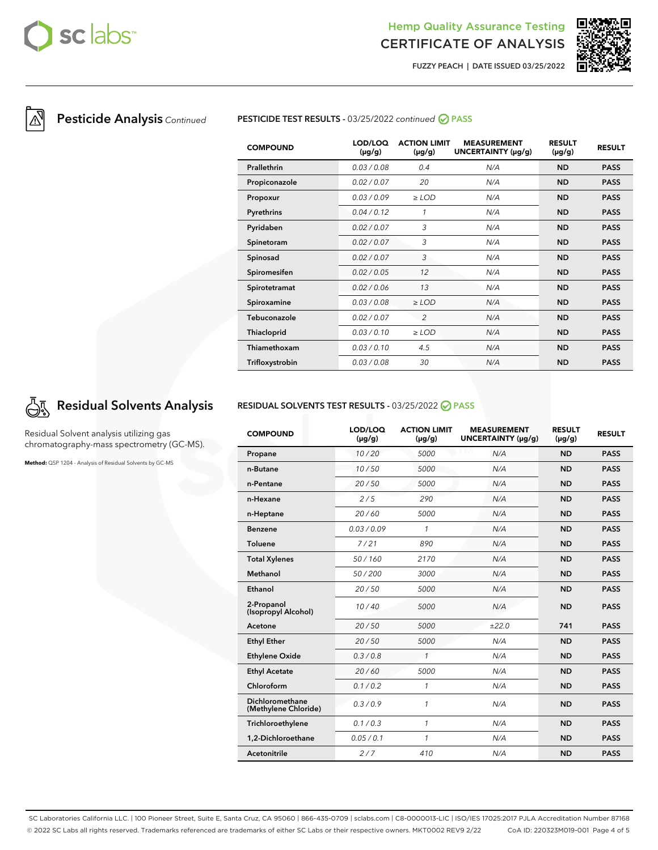

## Hemp Quality Assurance Testing CERTIFICATE OF ANALYSIS

**FUZZY PEACH | DATE ISSUED 03/25/2022**



## **Pesticide Analysis** Continued **PESTICIDE TEST RESULTS -** 03/25/2022 continued **⊘** PASS

| <b>COMPOUND</b> | LOD/LOO<br>$(\mu g/g)$ | <b>ACTION LIMIT</b><br>$(\mu g/g)$ | <b>MEASUREMENT</b><br>UNCERTAINTY (µg/g) | <b>RESULT</b><br>$(\mu g/g)$ | <b>RESULT</b> |
|-----------------|------------------------|------------------------------------|------------------------------------------|------------------------------|---------------|
| Prallethrin     | 0.03/0.08              | 0.4                                | N/A                                      | <b>ND</b>                    | <b>PASS</b>   |
| Propiconazole   | 0.02/0.07              | 20                                 | N/A                                      | <b>ND</b>                    | <b>PASS</b>   |
| Propoxur        | 0.03/0.09              | $\ge$ LOD                          | N/A                                      | <b>ND</b>                    | <b>PASS</b>   |
| Pyrethrins      | 0.04 / 0.12            | 1                                  | N/A                                      | <b>ND</b>                    | <b>PASS</b>   |
| Pyridaben       | 0.02/0.07              | 3                                  | N/A                                      | <b>ND</b>                    | <b>PASS</b>   |
| Spinetoram      | 0.02 / 0.07            | 3                                  | N/A                                      | <b>ND</b>                    | <b>PASS</b>   |
| Spinosad        | 0.02 / 0.07            | 3                                  | N/A                                      | <b>ND</b>                    | <b>PASS</b>   |
| Spiromesifen    | 0.02 / 0.05            | 12                                 | N/A                                      | <b>ND</b>                    | <b>PASS</b>   |
| Spirotetramat   | 0.02 / 0.06            | 13                                 | N/A                                      | <b>ND</b>                    | <b>PASS</b>   |
| Spiroxamine     | 0.03/0.08              | $\ge$ LOD                          | N/A                                      | <b>ND</b>                    | <b>PASS</b>   |
| Tebuconazole    | 0.02 / 0.07            | $\overline{2}$                     | N/A                                      | <b>ND</b>                    | <b>PASS</b>   |
| Thiacloprid     | 0.03/0.10              | $\ge$ LOD                          | N/A                                      | <b>ND</b>                    | <b>PASS</b>   |
| Thiamethoxam    | 0.03/0.10              | 4.5                                | N/A                                      | <b>ND</b>                    | <b>PASS</b>   |
| Trifloxystrobin | 0.03 / 0.08            | 30                                 | N/A                                      | <b>ND</b>                    | <b>PASS</b>   |

# **Residual Solvents Analysis**

Residual Solvent analysis utilizing gas chromatography-mass spectrometry (GC-MS).

**Method:** QSP 1204 - Analysis of Residual Solvents by GC-MS

#### **RESIDUAL SOLVENTS TEST RESULTS -** 03/25/2022 **PASS**

| <b>COMPOUND</b>                         | LOD/LOQ<br>$(\mu g/g)$ | <b>ACTION LIMIT</b><br>$(\mu g/g)$ | <b>MEASUREMENT</b><br>UNCERTAINTY (µg/g) | <b>RESULT</b><br>$(\mu g/g)$ | <b>RESULT</b> |
|-----------------------------------------|------------------------|------------------------------------|------------------------------------------|------------------------------|---------------|
| Propane                                 | 10/20                  | 5000                               | N/A                                      | <b>ND</b>                    | <b>PASS</b>   |
| n-Butane                                | 10/50                  | 5000                               | N/A                                      | <b>ND</b>                    | <b>PASS</b>   |
| n-Pentane                               | 20/50                  | 5000                               | N/A                                      | <b>ND</b>                    | <b>PASS</b>   |
| n-Hexane                                | 2/5                    | 290                                | N/A                                      | <b>ND</b>                    | <b>PASS</b>   |
| n-Heptane                               | 20/60                  | 5000                               | N/A                                      | <b>ND</b>                    | <b>PASS</b>   |
| <b>Benzene</b>                          | 0.03 / 0.09            | $\mathcal{I}$                      | N/A                                      | <b>ND</b>                    | <b>PASS</b>   |
| <b>Toluene</b>                          | 7/21                   | 890                                | N/A                                      | <b>ND</b>                    | <b>PASS</b>   |
| <b>Total Xylenes</b>                    | 50/160                 | 2170                               | N/A                                      | <b>ND</b>                    | <b>PASS</b>   |
| Methanol                                | 50/200                 | 3000                               | N/A                                      | <b>ND</b>                    | <b>PASS</b>   |
| Ethanol                                 | 20/50                  | 5000                               | N/A                                      | <b>ND</b>                    | <b>PASS</b>   |
| 2-Propanol<br>(Isopropyl Alcohol)       | 10/40                  | 5000                               | N/A                                      | <b>ND</b>                    | <b>PASS</b>   |
| Acetone                                 | 20/50                  | 5000                               | ±22.0                                    | 741                          | <b>PASS</b>   |
| <b>Ethyl Ether</b>                      | 20/50                  | 5000                               | N/A                                      | <b>ND</b>                    | <b>PASS</b>   |
| <b>Ethylene Oxide</b>                   | 0.3/0.8                | $\mathbf{1}$                       | N/A                                      | <b>ND</b>                    | <b>PASS</b>   |
| <b>Ethyl Acetate</b>                    | 20/60                  | 5000                               | N/A                                      | <b>ND</b>                    | <b>PASS</b>   |
| Chloroform                              | 0.1 / 0.2              | $\mathbf{1}$                       | N/A                                      | <b>ND</b>                    | <b>PASS</b>   |
| Dichloromethane<br>(Methylene Chloride) | 0.3/0.9                | $\mathbf{1}$                       | N/A                                      | <b>ND</b>                    | <b>PASS</b>   |
| Trichloroethylene                       | 0.1 / 0.3              | $\mathbf{1}$                       | N/A                                      | <b>ND</b>                    | <b>PASS</b>   |
| 1,2-Dichloroethane                      | 0.05 / 0.1             | $\mathcal{I}$                      | N/A                                      | <b>ND</b>                    | <b>PASS</b>   |
| <b>Acetonitrile</b>                     | 2/7                    | 410                                | N/A                                      | <b>ND</b>                    | <b>PASS</b>   |